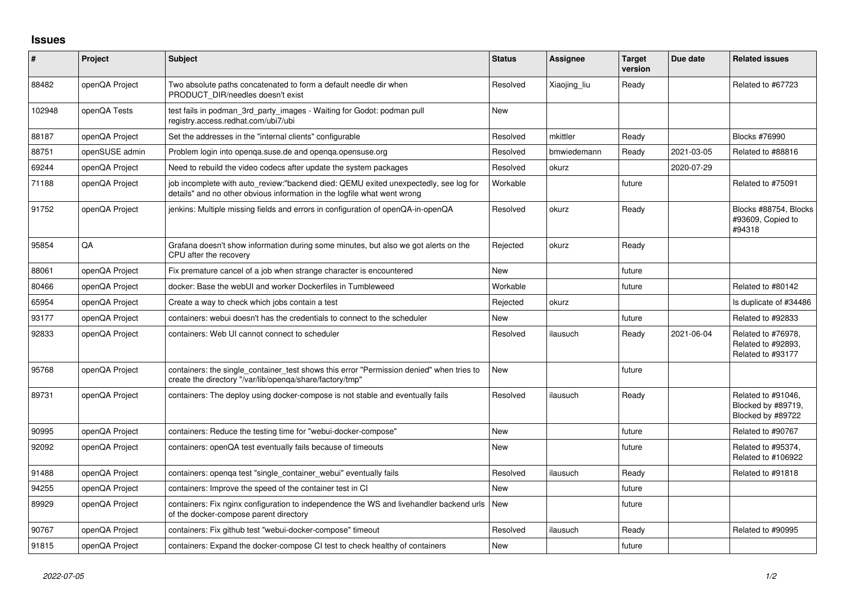## **Issues**

| $\pmb{\#}$ | Project        | <b>Subject</b>                                                                                                                                                   | <b>Status</b> | <b>Assignee</b> | <b>Target</b><br>version | Due date   | <b>Related issues</b>                                         |
|------------|----------------|------------------------------------------------------------------------------------------------------------------------------------------------------------------|---------------|-----------------|--------------------------|------------|---------------------------------------------------------------|
| 88482      | openQA Project | Two absolute paths concatenated to form a default needle dir when<br>PRODUCT DIR/needles doesn't exist                                                           | Resolved      | Xiaojing liu    | Ready                    |            | Related to #67723                                             |
| 102948     | openQA Tests   | test fails in podman_3rd_party_images - Waiting for Godot: podman pull<br>registry.access.redhat.com/ubi7/ubi                                                    | <b>New</b>    |                 |                          |            |                                                               |
| 88187      | openQA Project | Set the addresses in the "internal clients" configurable                                                                                                         | Resolved      | mkittler        | Ready                    |            | <b>Blocks #76990</b>                                          |
| 88751      | openSUSE admin | Problem login into openga.suse.de and openga.opensuse.org                                                                                                        | Resolved      | bmwiedemann     | Ready                    | 2021-03-05 | Related to #88816                                             |
| 69244      | openQA Project | Need to rebuild the video codecs after update the system packages                                                                                                | Resolved      | okurz           |                          | 2020-07-29 |                                                               |
| 71188      | openQA Project | job incomplete with auto review:"backend died: QEMU exited unexpectedly, see log for<br>details" and no other obvious information in the logfile what went wrong | Workable      |                 | future                   |            | Related to #75091                                             |
| 91752      | openQA Project | jenkins: Multiple missing fields and errors in configuration of openQA-in-openQA                                                                                 | Resolved      | okurz           | Ready                    |            | Blocks #88754, Blocks<br>#93609, Copied to<br>#94318          |
| 95854      | QA             | Grafana doesn't show information during some minutes, but also we got alerts on the<br>CPU after the recovery                                                    | Rejected      | okurz           | Ready                    |            |                                                               |
| 88061      | openQA Project | Fix premature cancel of a job when strange character is encountered                                                                                              | <b>New</b>    |                 | future                   |            |                                                               |
| 80466      | openQA Project | docker: Base the webUI and worker Dockerfiles in Tumbleweed                                                                                                      | Workable      |                 | future                   |            | Related to #80142                                             |
| 65954      | openQA Project | Create a way to check which jobs contain a test                                                                                                                  | Rejected      | okurz           |                          |            | Is duplicate of #34486                                        |
| 93177      | openQA Project | containers: webui doesn't has the credentials to connect to the scheduler                                                                                        | New           |                 | future                   |            | Related to #92833                                             |
| 92833      | openQA Project | containers: Web UI cannot connect to scheduler                                                                                                                   | Resolved      | ilausuch        | Ready                    | 2021-06-04 | Related to #76978,<br>Related to #92893,<br>Related to #93177 |
| 95768      | openQA Project | containers: the single_container_test shows this error "Permission denied" when tries to<br>create the directory "/var/lib/openqa/share/factory/tmp"             | <b>New</b>    |                 | future                   |            |                                                               |
| 89731      | openQA Project | containers: The deploy using docker-compose is not stable and eventually fails                                                                                   | Resolved      | ilausuch        | Ready                    |            | Related to #91046,<br>Blocked by #89719,<br>Blocked by #89722 |
| 90995      | openQA Project | containers: Reduce the testing time for "webui-docker-compose"                                                                                                   | <b>New</b>    |                 | future                   |            | Related to #90767                                             |
| 92092      | openQA Project | containers: openQA test eventually fails because of timeouts                                                                                                     | <b>New</b>    |                 | future                   |            | Related to #95374,<br>Related to #106922                      |
| 91488      | openQA Project | containers: openga test "single container webui" eventually fails                                                                                                | Resolved      | ilausuch        | Ready                    |            | Related to #91818                                             |
| 94255      | openQA Project | containers: Improve the speed of the container test in CI                                                                                                        | <b>New</b>    |                 | future                   |            |                                                               |
| 89929      | openQA Project | containers: Fix nginx configuration to independence the WS and livehandler backend urls<br>of the docker-compose parent directory                                | <b>New</b>    |                 | future                   |            |                                                               |
| 90767      | openQA Project | containers: Fix github test "webui-docker-compose" timeout                                                                                                       | Resolved      | ilausuch        | Ready                    |            | Related to #90995                                             |
| 91815      | openQA Project | containers: Expand the docker-compose CI test to check healthy of containers                                                                                     | <b>New</b>    |                 | future                   |            |                                                               |